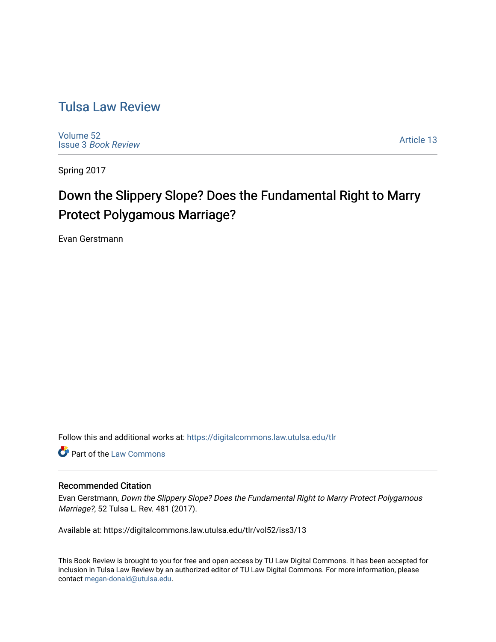## [Tulsa Law Review](https://digitalcommons.law.utulsa.edu/tlr)

[Volume 52](https://digitalcommons.law.utulsa.edu/tlr/vol52) Issue 3 [Book Review](https://digitalcommons.law.utulsa.edu/tlr/vol52/iss3)

[Article 13](https://digitalcommons.law.utulsa.edu/tlr/vol52/iss3/13) 

Spring 2017

# Down the Slippery Slope? Does the Fundamental Right to Marry Protect Polygamous Marriage?

Evan Gerstmann

Follow this and additional works at: [https://digitalcommons.law.utulsa.edu/tlr](https://digitalcommons.law.utulsa.edu/tlr?utm_source=digitalcommons.law.utulsa.edu%2Ftlr%2Fvol52%2Fiss3%2F13&utm_medium=PDF&utm_campaign=PDFCoverPages) 

Part of the [Law Commons](http://network.bepress.com/hgg/discipline/578?utm_source=digitalcommons.law.utulsa.edu%2Ftlr%2Fvol52%2Fiss3%2F13&utm_medium=PDF&utm_campaign=PDFCoverPages)

#### Recommended Citation

Evan Gerstmann, Down the Slippery Slope? Does the Fundamental Right to Marry Protect Polygamous Marriage?, 52 Tulsa L. Rev. 481 (2017).

Available at: https://digitalcommons.law.utulsa.edu/tlr/vol52/iss3/13

This Book Review is brought to you for free and open access by TU Law Digital Commons. It has been accepted for inclusion in Tulsa Law Review by an authorized editor of TU Law Digital Commons. For more information, please contact [megan-donald@utulsa.edu.](mailto:megan-donald@utulsa.edu)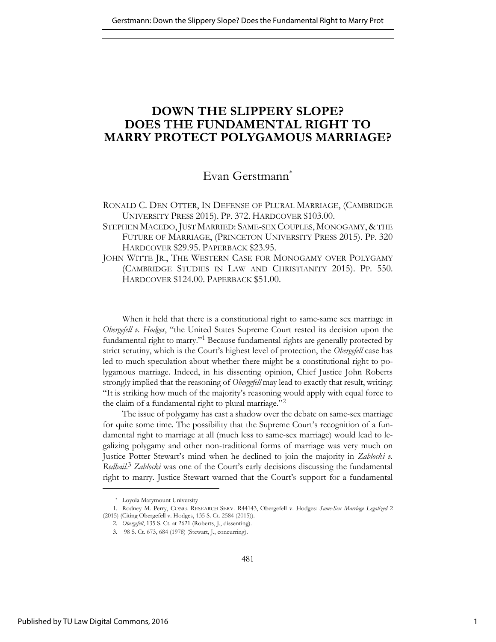## **DOWN THE SLIPPERY SLOPE? DOES THE FUNDAMENTAL RIGHT TO MARRY PROTECT POLYGAMOUS MARRIAGE?**

### Evan Gerstmann\*

RONALD C. DEN OTTER, IN DEFENSE OF PLURAL MARRIAGE, (CAMBRIDGE UNIVERSITY PRESS 2015). PP. 372. HARDCOVER \$103.00.

- STEPHEN MACEDO, JUST MARRIED: SAME-SEX COUPLES, MONOGAMY, & THE FUTURE OF MARRIAGE, (PRINCETON UNIVERSITY PRESS 2015). PP. 320 HARDCOVER \$29.95. PAPERBACK \$23.95.
- JOHN WITTE JR., THE WESTERN CASE FOR MONOGAMY OVER POLYGAMY (CAMBRIDGE STUDIES IN LAW AND CHRISTIANITY 2015). PP. 550. HARDCOVER \$124.00. PAPERBACK \$51.00.

When it held that there is a constitutional right to same-same sex marriage in *Obergefell v. Hodges*, "the United States Supreme Court rested its decision upon the fundamental right to marry."<sup>1</sup> Because fundamental rights are generally protected by strict scrutiny, which is the Court's highest level of protection, the *Obergefell* case has led to much speculation about whether there might be a constitutional right to polygamous marriage. Indeed, in his dissenting opinion, Chief Justice John Roberts strongly implied that the reasoning of *Obergefell* may lead to exactly that result, writing: "It is striking how much of the majority's reasoning would apply with equal force to the claim of a fundamental right to plural marriage."<sup>2</sup>

The issue of polygamy has cast a shadow over the debate on same-sex marriage for quite some time. The possibility that the Supreme Court's recognition of a fundamental right to marriage at all (much less to same-sex marriage) would lead to legalizing polygamy and other non-traditional forms of marriage was very much on Justice Potter Stewart's mind when he declined to join the majority in *Zablocki v. Redhail*. <sup>3</sup> *Zablocki* was one of the Court's early decisions discussing the fundamental right to marry. Justice Stewart warned that the Court's support for a fundamental

<sup>\*</sup> Loyola Marymount University

<sup>1.</sup> Rodney M. Perry, CONG. RESEARCH SERV. R44143, Obergefell v. Hodges*: Same-Sex Marriage Legalized* 2 (2015) (Citing Obergefell v. Hodges, 135 S. Ct. 2584 (2015)).

<sup>2</sup>*. Obergefell*, 135 S. Ct. at 2621 (Roberts, J., dissenting).

<sup>3.</sup> 98 S. Ct. 673, 684 (1978) (Stewart, J., concurring).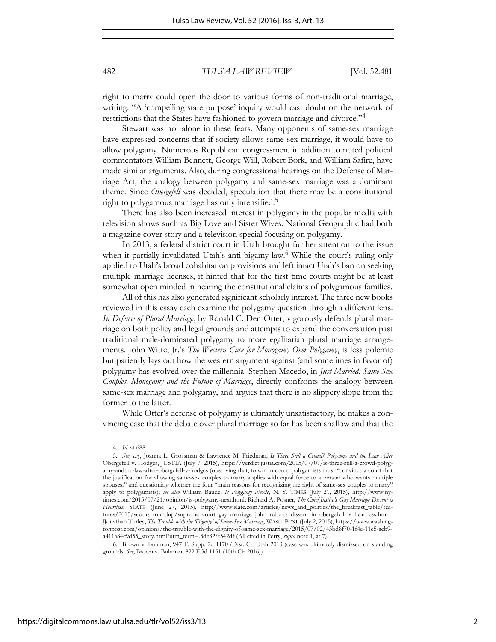right to marry could open the door to various forms of non-traditional marriage, writing: "A 'compelling state purpose' inquiry would cast doubt on the network of restrictions that the States have fashioned to govern marriage and divorce."<sup>4</sup>

Stewart was not alone in these fears. Many opponents of same-sex marriage have expressed concerns that if society allows same-sex marriage, it would have to allow polygamy. Numerous Republican congressmen, in addition to noted political commentators William Bennett, George Will, Robert Bork, and William Safire, have made similar arguments. Also, during congressional hearings on the Defense of Marriage Act, the analogy between polygamy and same-sex marriage was a dominant theme. Since *Obergefell* was decided, speculation that there may be a constitutional right to polygamous marriage has only intensified.<sup>5</sup>

There has also been increased interest in polygamy in the popular media with television shows such as Big Love and Sister Wives. National Geographic had both a magazine cover story and a television special focusing on polygamy.

In 2013, a federal district court in Utah brought further attention to the issue when it partially invalidated Utah's anti-bigamy law.<sup>6</sup> While the court's ruling only applied to Utah's broad cohabitation provisions and left intact Utah's ban on seeking multiple marriage licenses, it hinted that for the first time courts might be at least somewhat open minded in hearing the constitutional claims of polygamous families.

All of this has also generated significant scholarly interest. The three new books reviewed in this essay each examine the polygamy question through a different lens. *In Defense of Plural Marriage*, by Ronald C. Den Otter, vigorously defends plural marriage on both policy and legal grounds and attempts to expand the conversation past traditional male-dominated polygamy to more egalitarian plural marriage arrangements. John Witte, Jr.'s *The Western Case for Monogamy Over Polygamy*, is less polemic but patiently lays out how the western argument against (and sometimes in favor of) polygamy has evolved over the millennia. Stephen Macedo, in *Just Married: Same-Sex Couples, Monogamy and the Future of Marriage*, directly confronts the analogy between same-sex marriage and polygamy, and argues that there is no slippery slope from the former to the latter.

While Otter's defense of polygamy is ultimately unsatisfactory, he makes a convincing case that the debate over plural marriage so far has been shallow and that the

<sup>4.</sup> *Id.* at 688 .

<sup>5.</sup> *See, e.g.*, Joanna L. Grossman & Lawrence M. Friedman, *Is Three Still a Crowd? Polygamy and the Law After* Obergefell v. Hodges, JUSTIA (July 7, 2015), https://verdict.justia.com/2015/07/07/is-three-still-a-crowd-polygamy-andthe-law-after-obergefell-v-hodges (observing that, to win in court, polygamists must "convince a court that the justification for allowing same-sex couples to marry applies with equal force to a person who wants multiple spouses," and questioning whether the four "main reasons for recognizing the right of same-sex couples to marry" apply to polygamists); *see also* William Baude, *Is Polygamy Next?*, N. Y. TIMES (July 21, 2015), http://www.nytimes.com/2015/07/21/opinion/is-polygamy-next.html; Richard A. Posner, *The Chief Justice's Gay Marriage Dissent is Heartless*, SLATE (June 27, 2015), http://www.slate.com/articles/news\_and\_politics/the\_breakfast\_table/features/2015/scotus\_roundup/supreme\_court\_gay\_marriage\_john\_roberts\_dissent\_in\_obergefell\_is\_heartless.htm lJonathan Turley, *The Trouble with the 'Dignity' of Same-Sex Marriage*, WASH. POST (July 2, 2015), https://www.washingtonpost.com/opinions/the-trouble-with-the-dignity-of-same-sex-marriage/2015/07/02/43bd8f70-1f4e-11e5-aeb9 a411a84c9d55\_story.html?utm\_term=.3de82fe542df (All cited in Perry, *supra* note 1, at 7).

<sup>6</sup>*.* Brown v. Buhman, 947 F. Supp. 2d 1170 (Dist. Ct. Utah 2013 (case was ultimately dismissed on standing grounds. *See*, Brown v. Buhman, 822 F.3d 1151 (10th Cir 2016)).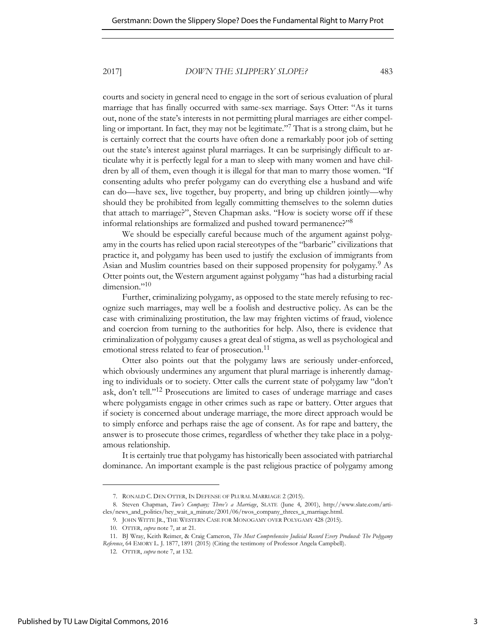courts and society in general need to engage in the sort of serious evaluation of plural marriage that has finally occurred with same-sex marriage. Says Otter: "As it turns out, none of the state's interests in not permitting plural marriages are either compelling or important. In fact, they may not be legitimate."<sup>7</sup> That is a strong claim, but he is certainly correct that the courts have often done a remarkably poor job of setting out the state's interest against plural marriages. It can be surprisingly difficult to articulate why it is perfectly legal for a man to sleep with many women and have children by all of them, even though it is illegal for that man to marry those women. "If consenting adults who prefer polygamy can do everything else a husband and wife can do—have sex, live together, buy property, and bring up children jointly—why should they be prohibited from legally committing themselves to the solemn duties that attach to marriage?", Steven Chapman asks. "How is society worse off if these informal relationships are formalized and pushed toward permanence?"<sup>8</sup>

We should be especially careful because much of the argument against polygamy in the courts has relied upon racial stereotypes of the "barbaric" civilizations that practice it, and polygamy has been used to justify the exclusion of immigrants from Asian and Muslim countries based on their supposed propensity for polygamy.<sup>9</sup> As Otter points out, the Western argument against polygamy "has had a disturbing racial dimension."<sup>10</sup>

Further, criminalizing polygamy, as opposed to the state merely refusing to recognize such marriages, may well be a foolish and destructive policy. As can be the case with criminalizing prostitution, the law may frighten victims of fraud, violence and coercion from turning to the authorities for help. Also, there is evidence that criminalization of polygamy causes a great deal of stigma, as well as psychological and emotional stress related to fear of prosecution.<sup>11</sup>

Otter also points out that the polygamy laws are seriously under-enforced, which obviously undermines any argument that plural marriage is inherently damaging to individuals or to society. Otter calls the current state of polygamy law "don't ask, don't tell."12 Prosecutions are limited to cases of underage marriage and cases where polygamists engage in other crimes such as rape or battery. Otter argues that if society is concerned about underage marriage, the more direct approach would be to simply enforce and perhaps raise the age of consent. As for rape and battery, the answer is to prosecute those crimes, regardless of whether they take place in a polygamous relationship.

It is certainly true that polygamy has historically been associated with patriarchal dominance. An important example is the past religious practice of polygamy among

9. JOHN WITTE JR., THE WESTERN CASE FOR MONOGAMY OVER POLYGAMY 428 (2015).

<sup>7.</sup> RONALD C. DEN OTTER, IN DEFENSE OF PLURAL MARRIAGE 2 (2015).

<sup>8.</sup> Steven Chapman, *Two's Company; Three's a Marriage*, SLATE (June 4, 2001), http://www.slate.com/articles/news\_and\_politics/hey\_wait\_a\_minute/2001/06/twos\_company\_threes\_a\_marriage.html.

<sup>10.</sup> OTTER, *supra* note 7, at at 21.

<sup>11.</sup> BJ Wray, Keith Reimer, & Craig Cameron, *The Most Comprehensive Judicial Record Every Produced: The Polygamy Reference*, 64 EMORY L. J. 1877, 1891 (2015) (Citing the testimony of Professor Angela Campbell).

<sup>12.</sup> OTTER, *supra* note 7, at 132.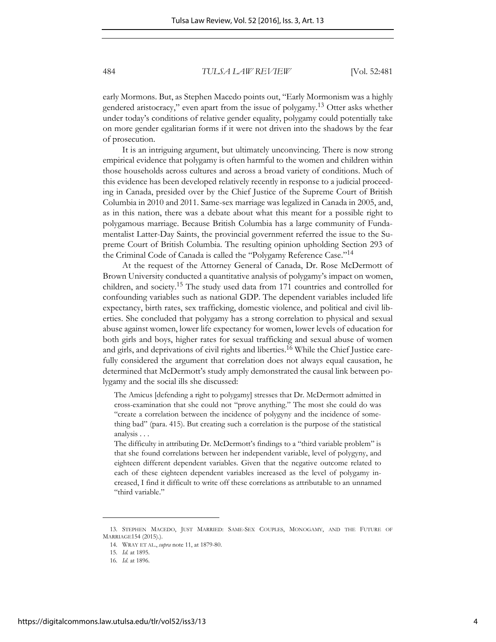early Mormons. But, as Stephen Macedo points out, "Early Mormonism was a highly gendered aristocracy," even apart from the issue of polygamy.13 Otter asks whether under today's conditions of relative gender equality, polygamy could potentially take on more gender egalitarian forms if it were not driven into the shadows by the fear of prosecution.

It is an intriguing argument, but ultimately unconvincing. There is now strong empirical evidence that polygamy is often harmful to the women and children within those households across cultures and across a broad variety of conditions. Much of this evidence has been developed relatively recently in response to a judicial proceeding in Canada, presided over by the Chief Justice of the Supreme Court of British Columbia in 2010 and 2011. Same-sex marriage was legalized in Canada in 2005, and, as in this nation, there was a debate about what this meant for a possible right to polygamous marriage. Because British Columbia has a large community of Fundamentalist Latter-Day Saints, the provincial government referred the issue to the Supreme Court of British Columbia. The resulting opinion upholding Section 293 of the Criminal Code of Canada is called the "Polygamy Reference Case." 14

At the request of the Attorney General of Canada, Dr. Rose McDermott of Brown University conducted a quantitative analysis of polygamy's impact on women, children, and society.15 The study used data from 171 countries and controlled for confounding variables such as national GDP. The dependent variables included life expectancy, birth rates, sex trafficking, domestic violence, and political and civil liberties. She concluded that polygamy has a strong correlation to physical and sexual abuse against women, lower life expectancy for women, lower levels of education for both girls and boys, higher rates for sexual trafficking and sexual abuse of women and girls, and deprivations of civil rights and liberties.16 While the Chief Justice carefully considered the argument that correlation does not always equal causation, he determined that McDermott's study amply demonstrated the causal link between polygamy and the social ills she discussed:

The Amicus [defending a right to polygamy] stresses that Dr. McDermott admitted in cross-examination that she could not "prove anything." The most she could do was "create a correlation between the incidence of polygyny and the incidence of something bad" (para. 415). But creating such a correlation is the purpose of the statistical analysis . . .

The difficulty in attributing Dr. McDermott's findings to a "third variable problem" is that she found correlations between her independent variable, level of polygyny, and eighteen different dependent variables. Given that the negative outcome related to each of these eighteen dependent variables increased as the level of polygamy increased, I find it difficult to write off these correlations as attributable to an unnamed "third variable."

<sup>13.</sup> STEPHEN MACEDO, JUST MARRIED: SAME-SEX COUPLES, MONOGAMY, AND THE FUTURE OF MARRIAGE154 (2015).).

<sup>14.</sup> WRAY ET AL., *supra* note 11, at 1879-80.

<sup>15.</sup> *Id.* at 1895.

<sup>16.</sup> *Id*. at 1896.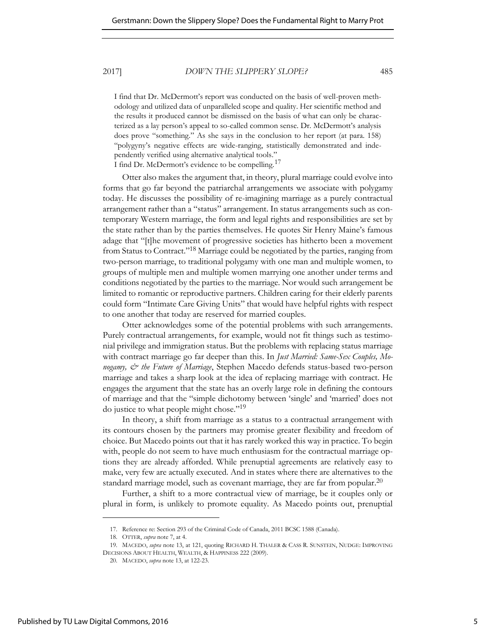I find that Dr. McDermott's report was conducted on the basis of well-proven methodology and utilized data of unparalleled scope and quality. Her scientific method and the results it produced cannot be dismissed on the basis of what can only be characterized as a lay person's appeal to so-called common sense. Dr. McDermott's analysis does prove "something." As she says in the conclusion to her report (at para. 158) "polygyny's negative effects are wide-ranging, statistically demonstrated and independently verified using alternative analytical tools."

I find Dr. McDermott's evidence to be compelling.<sup>17</sup>

Otter also makes the argument that, in theory, plural marriage could evolve into forms that go far beyond the patriarchal arrangements we associate with polygamy today. He discusses the possibility of re-imagining marriage as a purely contractual arrangement rather than a "status" arrangement. In status arrangements such as contemporary Western marriage, the form and legal rights and responsibilities are set by the state rather than by the parties themselves. He quotes Sir Henry Maine's famous adage that "[t]he movement of progressive societies has hitherto been a movement from Status to Contract."18 Marriage could be negotiated by the parties, ranging from two-person marriage, to traditional polygamy with one man and multiple women, to groups of multiple men and multiple women marrying one another under terms and conditions negotiated by the parties to the marriage. Nor would such arrangement be limited to romantic or reproductive partners. Children caring for their elderly parents could form "Intimate Care Giving Units" that would have helpful rights with respect to one another that today are reserved for married couples.

Otter acknowledges some of the potential problems with such arrangements. Purely contractual arrangements, for example, would not fit things such as testimonial privilege and immigration status. But the problems with replacing status marriage with contract marriage go far deeper than this. In *Just Married: Same-Sex Couples, Monogamy, & the Future of Marriage*, Stephen Macedo defends status-based two-person marriage and takes a sharp look at the idea of replacing marriage with contract. He engages the argument that the state has an overly large role in defining the contours of marriage and that the "simple dichotomy between 'single' and 'married' does not do justice to what people might chose."<sup>19</sup>

In theory, a shift from marriage as a status to a contractual arrangement with its contours chosen by the partners may promise greater flexibility and freedom of choice. But Macedo points out that it has rarely worked this way in practice. To begin with, people do not seem to have much enthusiasm for the contractual marriage options they are already afforded. While prenuptial agreements are relatively easy to make, very few are actually executed. And in states where there are alternatives to the standard marriage model, such as covenant marriage, they are far from popular.<sup>20</sup>

Further, a shift to a more contractual view of marriage, be it couples only or plural in form, is unlikely to promote equality. As Macedo points out, prenuptial

<sup>17.</sup> Reference re: Section 293 of the Criminal Code of Canada, 2011 BCSC 1588 (Canada).

<sup>18.</sup> OTTER, *supra* note 7, at 4.

<sup>19.</sup> MACEDO, *supra* note 13, at 121, quoting RICHARD H. THALER & CASS R. SUNSTEIN, NUDGE: IMPROVING DECISIONS ABOUT HEALTH, WEALTH, & HAPPINESS 222 (2009).

<sup>20.</sup> MACEDO, *supra* note 13, at 122-23.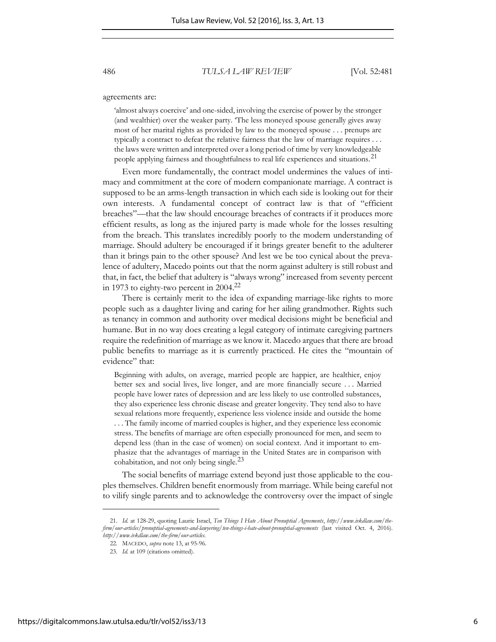agreements are:

'almost always coercive' and one-sided, involving the exercise of power by the stronger (and wealthier) over the weaker party. 'The less moneyed spouse generally gives away most of her marital rights as provided by law to the moneyed spouse . . . prenups are typically a contract to defeat the relative fairness that the law of marriage requires . . . the laws were written and interpreted over a long period of time by very knowledgeable people applying fairness and thoughtfulness to real life experiences and situations.<sup>21</sup>

Even more fundamentally, the contract model undermines the values of intimacy and commitment at the core of modern companionate marriage. A contract is supposed to be an arms-length transaction in which each side is looking out for their own interests. A fundamental concept of contract law is that of "efficient breaches"—that the law should encourage breaches of contracts if it produces more efficient results, as long as the injured party is made whole for the losses resulting from the breach. This translates incredibly poorly to the modern understanding of marriage. Should adultery be encouraged if it brings greater benefit to the adulterer than it brings pain to the other spouse? And lest we be too cynical about the prevalence of adultery, Macedo points out that the norm against adultery is still robust and that, in fact, the belief that adultery is "always wrong" increased from seventy percent in 1973 to eighty-two percent in  $2004.<sup>22</sup>$ 

There is certainly merit to the idea of expanding marriage-like rights to more people such as a daughter living and caring for her ailing grandmother. Rights such as tenancy in common and authority over medical decisions might be beneficial and humane. But in no way does creating a legal category of intimate caregiving partners require the redefinition of marriage as we know it. Macedo argues that there are broad public benefits to marriage as it is currently practiced. He cites the "mountain of evidence" that:

Beginning with adults, on average, married people are happier, are healthier, enjoy better sex and social lives, live longer, and are more financially secure . . . Married people have lower rates of depression and are less likely to use controlled substances, they also experience less chronic disease and greater longevity. They tend also to have sexual relations more frequently, experience less violence inside and outside the home . . . The family income of married couples is higher, and they experience less economic stress. The benefits of marriage are often especially pronounced for men, and seem to depend less (than in the case of women) on social context. And it important to emphasize that the advantages of marriage in the United States are in comparison with cohabitation, and not only being single. $^{23}$ 

The social benefits of marriage extend beyond just those applicable to the couples themselves. Children benefit enormously from marriage. While being careful not to vilify single parents and to acknowledge the controversy over the impact of single

<sup>21.</sup> *Id.* at 128-29, quoting Laurie Israel, *Ten Things I Hate About Prenuptial Agreements*, *http://www.ivkdlaw.com/thefirm/our-articles/prenuptial-agreements-and-lawyering/ten-things-i-hate-about-prenuptial-agreements* (last visited Oct. 4, 2016). *http://www.ivkdlaw.com/the-firm/our-articles.* 

<sup>22.</sup> MACEDO, *supra* note 13, at 95-96.

<sup>23.</sup> *Id.* at 109 (citations omitted).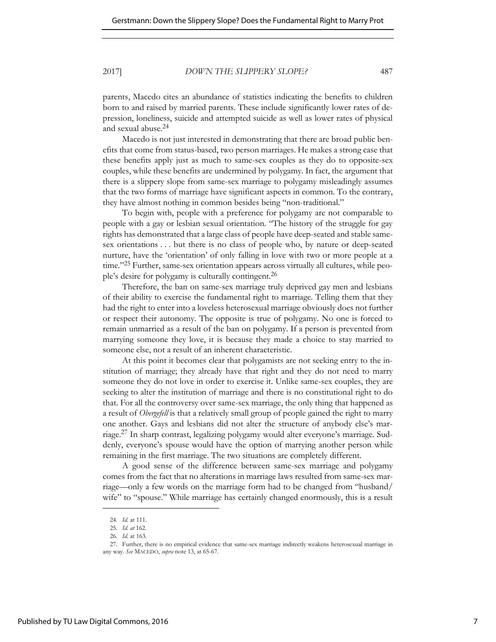parents, Macedo cites an abundance of statistics indicating the benefits to children born to and raised by married parents. These include significantly lower rates of depression, loneliness, suicide and attempted suicide as well as lower rates of physical and sexual abuse.<sup>24</sup>

Macedo is not just interested in demonstrating that there are broad public benefits that come from status-based, two person marriages. He makes a strong case that these benefits apply just as much to same-sex couples as they do to opposite-sex couples, while these benefits are undermined by polygamy. In fact, the argument that there is a slippery slope from same-sex marriage to polygamy misleadingly assumes that the two forms of marriage have significant aspects in common. To the contrary, they have almost nothing in common besides being "non-traditional."

To begin with, people with a preference for polygamy are not comparable to people with a gay or lesbian sexual orientation. "The history of the struggle for gay rights has demonstrated that a large class of people have deep-seated and stable samesex orientations . . . but there is no class of people who, by nature or deep-seated nurture, have the 'orientation' of only falling in love with two or more people at a time."<sup>25</sup> Further, same-sex orientation appears across virtually all cultures, while people's desire for polygamy is culturally contingent.<sup>26</sup>

Therefore, the ban on same-sex marriage truly deprived gay men and lesbians of their ability to exercise the fundamental right to marriage. Telling them that they had the right to enter into a loveless heterosexual marriage obviously does not further or respect their autonomy. The opposite is true of polygamy. No one is forced to remain unmarried as a result of the ban on polygamy. If a person is prevented from marrying someone they love, it is because they made a choice to stay married to someone else, not a result of an inherent characteristic.

At this point it becomes clear that polygamists are not seeking entry to the institution of marriage; they already have that right and they do not need to marry someone they do not love in order to exercise it. Unlike same-sex couples, they are seeking to alter the institution of marriage and there is no constitutional right to do that. For all the controversy over same-sex marriage, the only thing that happened as a result of *Obergefell* is that a relatively small group of people gained the right to marry one another. Gays and lesbians did not alter the structure of anybody else's marriage.<sup>27</sup> In sharp contrast, legalizing polygamy would alter everyone's marriage. Suddenly, everyone's spouse would have the option of marrying another person while remaining in the first marriage. The two situations are completely different.

A good sense of the difference between same-sex marriage and polygamy comes from the fact that no alterations in marriage laws resulted from same-sex marriage—only a few words on the marriage form had to be changed from "husband/ wife" to "spouse." While marriage has certainly changed enormously, this is a result

<sup>24.</sup> *Id.* at 111.

<sup>25.</sup> *Id. at* 162.

<sup>26.</sup> *Id.* at 163.

<sup>27.</sup> Further, there is no empirical evidence that same-sex marriage indirectly weakens heterosexual marriage in any way. *See* MACEDO, *supra* note 13, at 65-67.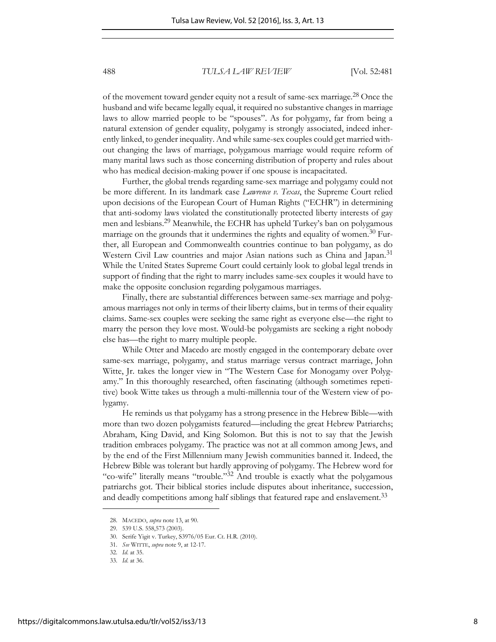of the movement toward gender equity not a result of same-sex marriage.28 Once the husband and wife became legally equal, it required no substantive changes in marriage laws to allow married people to be "spouses". As for polygamy, far from being a natural extension of gender equality, polygamy is strongly associated, indeed inherently linked, to gender inequality. And while same-sex couples could get married without changing the laws of marriage, polygamous marriage would require reform of many marital laws such as those concerning distribution of property and rules about who has medical decision-making power if one spouse is incapacitated.

Further, the global trends regarding same-sex marriage and polygamy could not be more different. In its landmark case *Lawrence v. Texas*, the Supreme Court relied upon decisions of the European Court of Human Rights ("ECHR") in determining that anti-sodomy laws violated the constitutionally protected liberty interests of gay men and lesbians.<sup>29</sup> Meanwhile, the ECHR has upheld Turkey's ban on polygamous marriage on the grounds that it undermines the rights and equality of women.<sup>30</sup> Further, all European and Commonwealth countries continue to ban polygamy, as do Western Civil Law countries and major Asian nations such as China and Japan.<sup>31</sup> While the United States Supreme Court could certainly look to global legal trends in support of finding that the right to marry includes same-sex couples it would have to make the opposite conclusion regarding polygamous marriages.

Finally, there are substantial differences between same-sex marriage and polygamous marriages not only in terms of their liberty claims, but in terms of their equality claims. Same-sex couples were seeking the same right as everyone else—the right to marry the person they love most. Would-be polygamists are seeking a right nobody else has—the right to marry multiple people.

While Otter and Macedo are mostly engaged in the contemporary debate over same-sex marriage, polygamy, and status marriage versus contract marriage, John Witte, Ir. takes the longer view in "The Western Case for Monogamy over Polygamy." In this thoroughly researched, often fascinating (although sometimes repetitive) book Witte takes us through a multi-millennia tour of the Western view of polygamy.

He reminds us that polygamy has a strong presence in the Hebrew Bible—with more than two dozen polygamists featured—including the great Hebrew Patriarchs; Abraham, King David, and King Solomon. But this is not to say that the Jewish tradition embraces polygamy. The practice was not at all common among Jews, and by the end of the First Millennium many Jewish communities banned it. Indeed, the Hebrew Bible was tolerant but hardly approving of polygamy. The Hebrew word for "co-wife" literally means "trouble."32 And trouble is exactly what the polygamous patriarchs got. Their biblical stories include disputes about inheritance, succession, and deadly competitions among half siblings that featured rape and enslavement.<sup>33</sup>

<sup>28.</sup> MACEDO, *supra* note 13, at 90.

<sup>29. 539</sup> U.S. 558,573 (2003).

<sup>30.</sup> Serife Yigit v. Turkey, S3976/05 Eur. Ct. H.R. (2010).

<sup>31.</sup> *See* WITTE, *supra* note 9, at 12-17.

<sup>32.</sup> *Id*. at 35.

<sup>33.</sup> *Id*. at 36.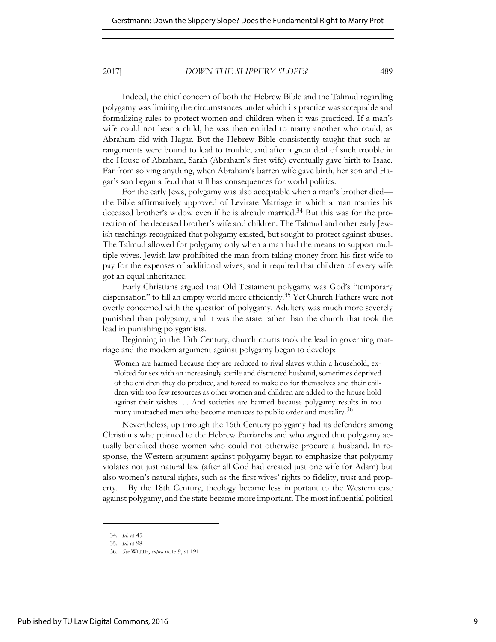Indeed, the chief concern of both the Hebrew Bible and the Talmud regarding polygamy was limiting the circumstances under which its practice was acceptable and formalizing rules to protect women and children when it was practiced. If a man's wife could not bear a child, he was then entitled to marry another who could, as Abraham did with Hagar. But the Hebrew Bible consistently taught that such arrangements were bound to lead to trouble, and after a great deal of such trouble in the House of Abraham, Sarah (Abraham's first wife) eventually gave birth to Isaac. Far from solving anything, when Abraham's barren wife gave birth, her son and Hagar's son began a feud that still has consequences for world politics.

For the early Jews, polygamy was also acceptable when a man's brother died the Bible affirmatively approved of Levirate Marriage in which a man marries his deceased brother's widow even if he is already married.<sup>34</sup> But this was for the protection of the deceased brother's wife and children. The Talmud and other early Jewish teachings recognized that polygamy existed, but sought to protect against abuses. The Talmud allowed for polygamy only when a man had the means to support multiple wives. Jewish law prohibited the man from taking money from his first wife to pay for the expenses of additional wives, and it required that children of every wife got an equal inheritance.

Early Christians argued that Old Testament polygamy was God's "temporary dispensation" to fill an empty world more efficiently.<sup>35</sup> Yet Church Fathers were not overly concerned with the question of polygamy. Adultery was much more severely punished than polygamy, and it was the state rather than the church that took the lead in punishing polygamists.

Beginning in the 13th Century, church courts took the lead in governing marriage and the modern argument against polygamy began to develop:

Women are harmed because they are reduced to rival slaves within a household, exploited for sex with an increasingly sterile and distracted husband, sometimes deprived of the children they do produce, and forced to make do for themselves and their children with too few resources as other women and children are added to the house hold against their wishes . . . And societies are harmed because polygamy results in too many unattached men who become menaces to public order and morality.<sup>36</sup>

Nevertheless, up through the 16th Century polygamy had its defenders among Christians who pointed to the Hebrew Patriarchs and who argued that polygamy actually benefited those women who could not otherwise procure a husband. In response, the Western argument against polygamy began to emphasize that polygamy violates not just natural law (after all God had created just one wife for Adam) but also women's natural rights, such as the first wives' rights to fidelity, trust and property. By the 18th Century, theology became less important to the Western case against polygamy, and the state became more important. The most influential political

<sup>34.</sup> *Id*. at 45.

<sup>35.</sup> *Id*. at 98.

<sup>36.</sup> *See* WITTE, *supra* note 9, at 191.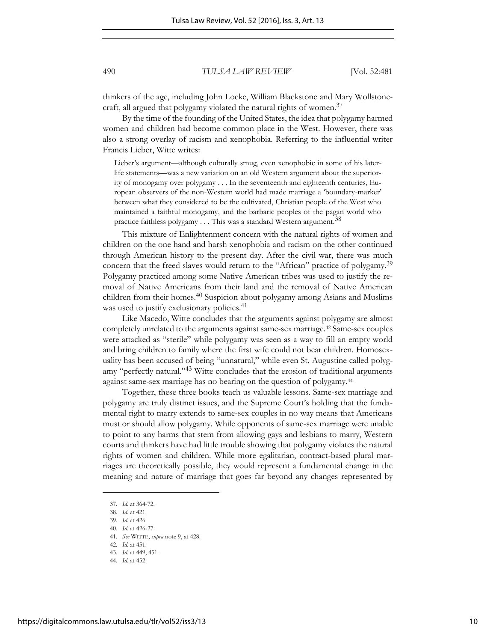thinkers of the age, including John Locke, William Blackstone and Mary Wollstonecraft, all argued that polygamy violated the natural rights of women.<sup>37</sup>

By the time of the founding of the United States, the idea that polygamy harmed women and children had become common place in the West. However, there was also a strong overlay of racism and xenophobia. Referring to the influential writer Francis Lieber, Witte writes:

Lieber's argument—although culturally smug, even xenophobic in some of his laterlife statements—was a new variation on an old Western argument about the superiority of monogamy over polygamy . . . In the seventeenth and eighteenth centuries, European observers of the non-Western world had made marriage a 'boundary-marker' between what they considered to be the cultivated, Christian people of the West who maintained a faithful monogamy, and the barbaric peoples of the pagan world who practice faithless polygamy  $\dots$  This was a standard Western argument.<sup>38</sup>

This mixture of Enlightenment concern with the natural rights of women and children on the one hand and harsh xenophobia and racism on the other continued through American history to the present day. After the civil war, there was much concern that the freed slaves would return to the "African" practice of polygamy.<sup>39</sup> Polygamy practiced among some Native American tribes was used to justify the removal of Native Americans from their land and the removal of Native American children from their homes.<sup>40</sup> Suspicion about polygamy among Asians and Muslims was used to justify exclusionary policies.<sup>41</sup>

Like Macedo, Witte concludes that the arguments against polygamy are almost completely unrelated to the arguments against same-sex marriage.42 Same-sex couples were attacked as "sterile" while polygamy was seen as a way to fill an empty world and bring children to family where the first wife could not bear children. Homosexuality has been accused of being "unnatural," while even St. Augustine called polygamy "perfectly natural."43 Witte concludes that the erosion of traditional arguments against same-sex marriage has no bearing on the question of polygamy.<sup>44</sup>

Together, these three books teach us valuable lessons. Same-sex marriage and polygamy are truly distinct issues, and the Supreme Court's holding that the fundamental right to marry extends to same-sex couples in no way means that Americans must or should allow polygamy. While opponents of same-sex marriage were unable to point to any harms that stem from allowing gays and lesbians to marry, Western courts and thinkers have had little trouble showing that polygamy violates the natural rights of women and children. While more egalitarian, contract-based plural marriages are theoretically possible, they would represent a fundamental change in the meaning and nature of marriage that goes far beyond any changes represented by

<sup>37.</sup> *Id*. at 364-72.

<sup>38.</sup> *Id*. at 421.

<sup>39.</sup> *Id*. at 426.

<sup>40.</sup> *Id*. at 426-27.

<sup>41.</sup> *See* WITTE, *supra* note 9, at 428.

<sup>42.</sup> *Id*. at 451.

<sup>43.</sup> *Id*. at 449, 451.

<sup>44.</sup> *Id*. at 452.